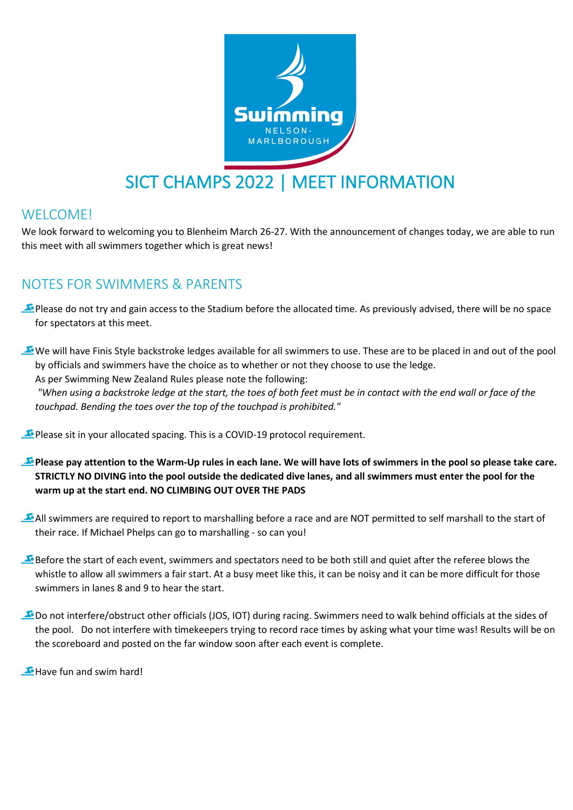

# SICT CHAMPS 2022 | MEET INFORMATION

#### WELCOME!

We look forward to welcoming you to Blenheim March 26-27. With the announcement of changes today, we are able to run this meet with all swimmers together which is great news!

#### NOTES FOR SWIMMERS & PARENTS

Please do not try and gain access to the Stadium before the allocated time. As previously advised, there will be no space for spectators at this meet.

We will have Finis Style backstroke ledges available for all swimmers to use. These are to be placed in and out of the pool by officials and swimmers have the choice as to whether or not they choose to use the ledge. As per Swimming New Zealand Rules please note the following:

*"When using a backstroke ledge at the start, the toes of both feet must be in contact with the end wall or face of the touchpad. Bending the toes over the top of the touchpad is prohibited."*

Please sit in your allocated spacing. This is a COVID-19 protocol requirement.

- **Please pay attention to the Warm-Up rules in each lane. We will have lots of swimmers in the pool so please take care. STRICTLY NO DIVING into the pool outside the dedicated dive lanes, and all swimmers must enter the pool for the warm up at the start end. NO CLIMBING OUT OVER THE PADS**
- All swimmers are required to report to marshalling before a race and are NOT permitted to self marshall to the start of their race. If Michael Phelps can go to marshalling - so can you!
- Before the start of each event, swimmers and spectators need to be both still and quiet after the referee blows the whistle to allow all swimmers a fair start. At a busy meet like this, it can be noisy and it can be more difficult for those swimmers in lanes 8 and 9 to hear the start.
- Do not interfere/obstruct other officials (JOS, IOT) during racing. Swimmers need to walk behind officials at the sides of the pool. Do not interfere with timekeepers trying to record race times by asking what your time was! Results will be on the scoreboard and posted on the far window soon after each event is complete.

Have fun and swim hard!